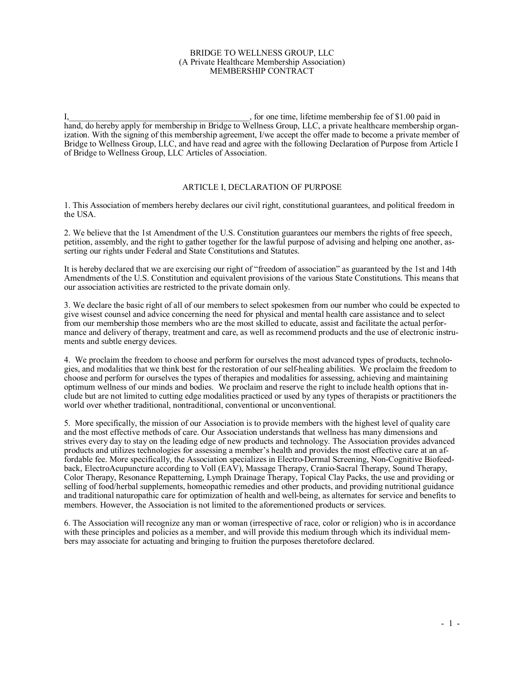## BRIDGE TO WELLNESS GROUP, LLC (A Private Healthcare Membership Association) MEMBERSHIP CONTRACT

I, the same of \$1.00 paid in the same of \$1.00 paid in the same of \$1.00 paid in hand, do hereby apply for membership in Bridge to Wellness Group, LLC, a private healthcare membership organization. With the signing of this membership agreement, I/we accept the offer made to become a private member of Bridge to Wellness Group, LLC, and have read and agree with the following Declaration of Purpose from Article I of Bridge to Wellness Group, LLC Articles of Association.

## ARTICLE I, DECLARATION OF PURPOSE

1. This Association of members hereby declares our civil right, constitutional guarantees, and political freedom in the USA.

2. We believe that the 1st Amendment of the U.S. Constitution guarantees our members the rights of free speech, petition, assembly, and the right to gather together for the lawful purpose of advising and helping one another, asserting our rights under Federal and State Constitutions and Statutes.

It is hereby declared that we are exercising our right of "freedom of association" as guaranteed by the 1st and 14th Amendments of the U.S. Constitution and equivalent provisions of the various State Constitutions. This means that our association activities are restricted to the private domain only.

3. We declare the basic right of all of our members to select spokesmen from our number who could be expected to give wisest counsel and advice concerning the need for physical and mental health care assistance and to select from our membership those members who are the most skilled to educate, assist and facilitate the actual performance and delivery of therapy, treatment and care, as well as recommend products and the use of electronic instruments and subtle energy devices.

4. We proclaim the freedom to choose and perform for ourselves the most advanced types of products, technologies, and modalities that we think best for the restoration of our self-healing abilities. We proclaim the freedom to choose and perform for ourselves the types of therapies and modalities for assessing, achieving and maintaining optimum wellness of our minds and bodies. We proclaim and reserve the right to include health options that include but are not limited to cutting edge modalities practiced or used by any types of therapists or practitioners the world over whether traditional, nontraditional, conventional or unconventional.

5. More specifically, the mission of our Association is to provide members with the highest level of quality care and the most effective methods of care. Our Association understands that wellness has many dimensions and strives every day to stay on the leading edge of new products and technology. The Association provides advanced products and utilizes technologies for assessing a member's health and provides the most effective care at an affordable fee. More specifically, the Association specializes in Electro-Dermal Screening, Non-Cognitive Biofeedback, ElectroAcupuncture according to Voll (EAV), Massage Therapy, Cranio-Sacral Therapy, Sound Therapy, Color Therapy, Resonance Repatterning, Lymph Drainage Therapy, Topical Clay Packs, the use and providing or selling of food/herbal supplements, homeopathic remedies and other products, and providing nutritional guidance and traditional naturopathic care for optimization of health and well-being, as alternates for service and benefits to members. However, the Association is not limited to the aforementioned products or services.

6. The Association will recognize any man or woman (irrespective of race, color or religion) who is in accordance with these principles and policies as a member, and will provide this medium through which its individual members may associate for actuating and bringing to fruition the purposes theretofore declared.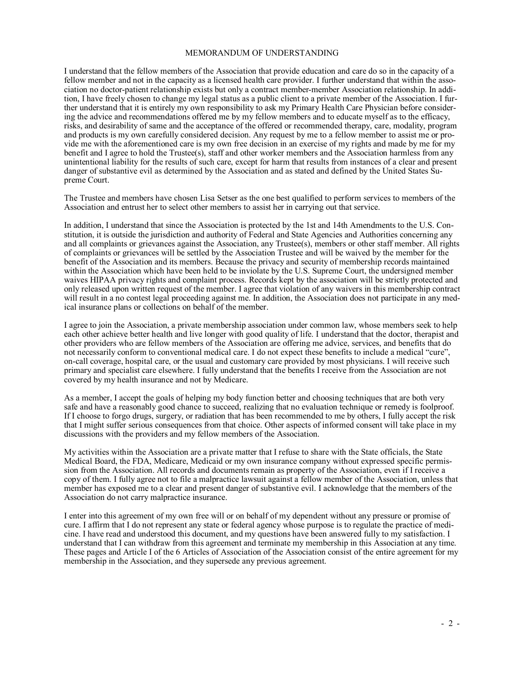## MEMORANDUM OF UNDERSTANDING

I understand that the fellow members of the Association that provide education and care do so in the capacity of a fellow member and not in the capacity as a licensed health care provider. I further understand that within the association no doctor-patient relationship exists but only a contract member-member Association relationship. In addition, I have freely chosen to change my legal status as a public client to a private member of the Association. I further understand that it is entirely my own responsibility to ask my Primary Health Care Physician before considering the advice and recommendations offered me by my fellow members and to educate myself as to the efficacy, risks, and desirability of same and the acceptance of the offered or recommended therapy, care, modality, program and products is my own carefully considered decision. Any request by me to a fellow member to assist me or provide me with the aforementioned care is my own free decision in an exercise of my rights and made by me for my benefit and I agree to hold the Trustee(s), staff and other worker members and the Association harmless from any unintentional liability for the results of such care, except for harm that results from instances of a clear and present danger of substantive evil as determined by the Association and as stated and defined by the United States Supreme Court.

The Trustee and members have chosen Lisa Setser as the one best qualified to perform services to members of the Association and entrust her to select other members to assist her in carrying out that service.

In addition, I understand that since the Association is protected by the 1st and 14th Amendments to the U.S. Constitution, it is outside the jurisdiction and authority of Federal and State Agencies and Authorities concerning any and all complaints or grievances against the Association, any Trustee(s), members or other staff member. All rights of complaints or grievances will be settled by the Association Trustee and will be waived by the member for the benefit of the Association and its members. Because the privacy and security of membership records maintained within the Association which have been held to be inviolate by the U.S. Supreme Court, the undersigned member waives HIPAA privacy rights and complaint process. Records kept by the association will be strictly protected and only released upon written request of the member. I agree that violation of any waivers in this membership contract will result in a no contest legal proceeding against me. In addition, the Association does not participate in any medical insurance plans or collections on behalf of the member.

I agree to join the Association, a private membership association under common law, whose members seek to help each other achieve better health and live longer with good quality of life. I understand that the doctor, therapist and other providers who are fellow members of the Association are offering me advice, services, and benefits that do not necessarily conform to conventional medical care. I do not expect these benefits to include a medical "cure", on-call coverage, hospital care, or the usual and customary care provided by most physicians. I will receive such primary and specialist care elsewhere. I fully understand that the benefits I receive from the Association are not covered by my health insurance and not by Medicare.

As a member, I accept the goals of helping my body function better and choosing techniques that are both very safe and have a reasonably good chance to succeed, realizing that no evaluation technique or remedy is foolproof. If I choose to forgo drugs, surgery, or radiation that has been recommended to me by others, I fully accept the risk that I might suffer serious consequences from that choice. Other aspects of informed consent will take place in my discussions with the providers and my fellow members of the Association.

My activities within the Association are a private matter that I refuse to share with the State officials, the State Medical Board, the FDA, Medicare, Medicaid or my own insurance company without expressed specific permission from the Association. All records and documents remain as property of the Association, even if I receive a copy of them. I fully agree not to file a malpractice lawsuit against a fellow member of the Association, unless that member has exposed me to a clear and present danger of substantive evil. I acknowledge that the members of the Association do not carry malpractice insurance.

I enter into this agreement of my own free will or on behalf of my dependent without any pressure or promise of cure. I affirm that I do not represent any state or federal agency whose purpose is to regulate the practice of medicine. I have read and understood this document, and my questions have been answered fully to my satisfaction. I understand that I can withdraw from this agreement and terminate my membership in this Association at any time. These pages and Article I of the 6 Articles of Association of the Association consist of the entire agreement for my membership in the Association, and they supersede any previous agreement.